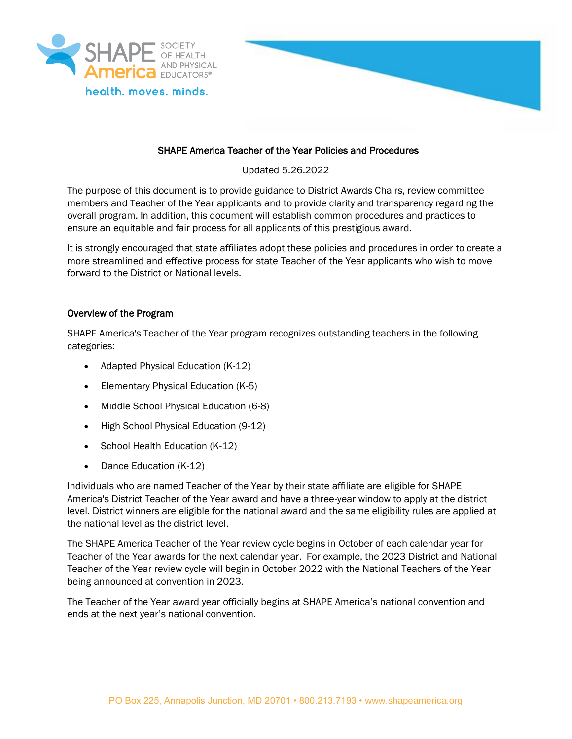



# SHAPE America Teacher of the Year Policies and Procedures

Updated 5.26.2022

The purpose of this document is to provide guidance to District Awards Chairs, review committee members and Teacher of the Year applicants and to provide clarity and transparency regarding the overall program. In addition, this document will establish common procedures and practices to ensure an equitable and fair process for all applicants of this prestigious award.

It is strongly encouraged that state affiliates adopt these policies and procedures in order to create a more streamlined and effective process for state Teacher of the Year applicants who wish to move forward to the District or National levels.

### Overview of the Program

SHAPE America's Teacher of the Year program recognizes outstanding teachers in the following categories:

- Adapted Physical Education (K-12)
- Elementary Physical Education (K-5)
- Middle School Physical Education (6-8)
- High School Physical Education (9-12)
- School Health Education (K-12)
- Dance Education (K-12)

Individuals who are named Teacher of the Year by their state affiliate are eligible for SHAPE America's District Teacher of the Year award and have a three-year window to apply at the district level. District winners are eligible for the national award and the same eligibility rules are applied at the national level as the district level.

The SHAPE America Teacher of the Year review cycle begins in October of each calendar year for Teacher of the Year awards for the next calendar year. For example, the 2023 District and National Teacher of the Year review cycle will begin in October 2022 with the National Teachers of the Year being announced at convention in 2023.

The Teacher of the Year award year officially begins at SHAPE America's national convention and ends at the next year's national convention.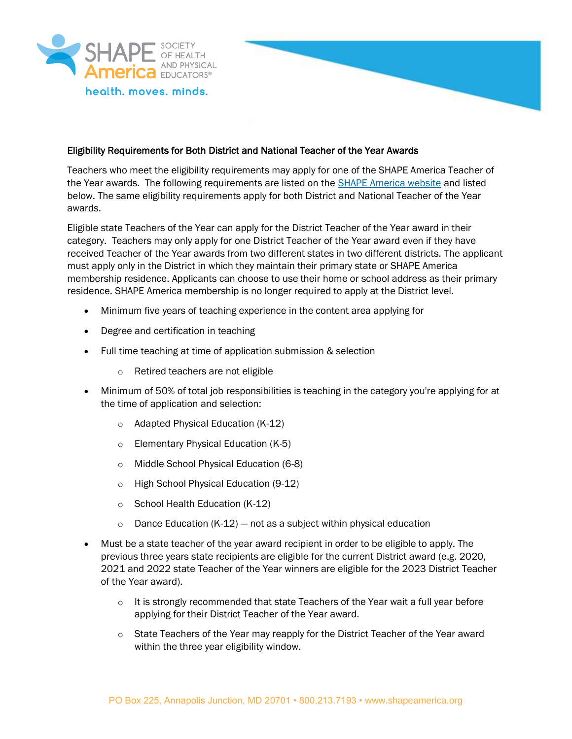



### Eligibility Requirements for Both District and National Teacher of the Year Awards

Teachers who meet the eligibility requirements may apply for one of the SHAPE America Teacher of the Year awards. The following requirements are listed on th[e SHAPE America website](https://www.shapeamerica.org/recognition/awards/toy.aspx) and listed below. The same eligibility requirements apply for both District and National Teacher of the Year awards.

Eligible state Teachers of the Year can apply for the District Teacher of the Year award in their category. Teachers may only apply for one District Teacher of the Year award even if they have received Teacher of the Year awards from two different states in two different districts. The applicant must apply only in the District in which they maintain their primary state or SHAPE America membership residence. Applicants can choose to use their home or school address as their primary residence. SHAPE America membership is no longer required to apply at the District level.

- Minimum five years of teaching experience in the content area applying for
- Degree and certification in teaching
- Full time teaching at time of application submission & selection
	- o Retired teachers are not eligible
- Minimum of 50% of total job responsibilities is teaching in the category you're applying for at the time of application and selection:
	- o Adapted Physical Education (K-12)
	- o Elementary Physical Education (K-5)
	- o Middle School Physical Education (6-8)
	- o High School Physical Education (9-12)
	- o School Health Education (K-12)
	- $\circ$  Dance Education (K-12) not as a subject within physical education
- Must be a state teacher of the year award recipient in order to be eligible to apply. The previous three years state recipients are eligible for the current District award (e.g. 2020, 2021 and 2022 state Teacher of the Year winners are eligible for the 2023 District Teacher of the Year award).
	- $\circ$  It is strongly recommended that state Teachers of the Year wait a full year before applying for their District Teacher of the Year award.
	- $\circ$  State Teachers of the Year may reapply for the District Teacher of the Year award within the three year eligibility window.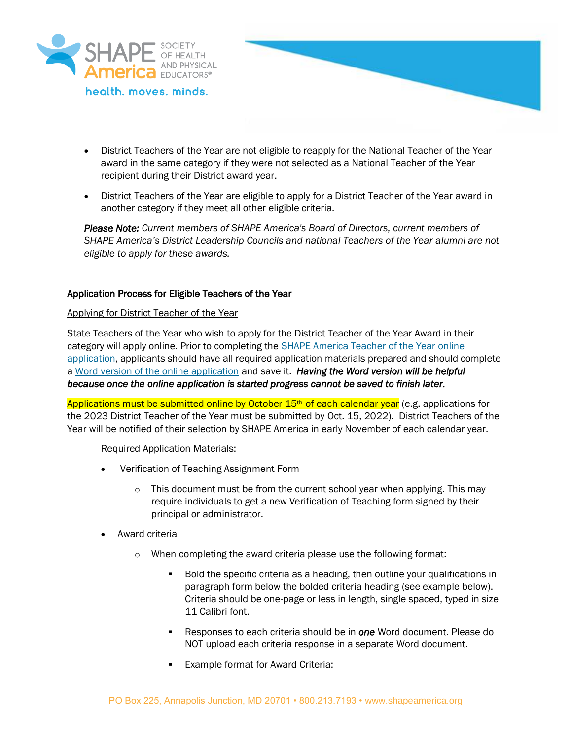



- District Teachers of the Year are not eligible to reapply for the National Teacher of the Year award in the same category if they were not selected as a National Teacher of the Year recipient during their District award year.
- District Teachers of the Year are eligible to apply for a District Teacher of the Year award in another category if they meet all other eligible criteria.

*Please Note: Current members of SHAPE America's Board of Directors, current members of SHAPE America's District Leadership Councils and national Teachers of the Year alumni are not eligible to apply for these awards.*

# Application Process for Eligible Teachers of the Year

#### Applying for District Teacher of the Year

State Teachers of the Year who wish to apply for the District Teacher of the Year Award in their category will apply online. Prior to completing the [SHAPE America Teacher of the Year online](https://airtable.com/shrLvD1EgvK9kaC98)  [application,](https://airtable.com/shrLvD1EgvK9kaC98) applicants should have all required application materials prepared and should complete a [Word version of the online application](https://www.shapeamerica.org/recognition/awards/toy.aspx) and save it. *Having the Word version will be helpful because once the online application is started progress cannot be saved to finish later.*

Applications must be submitted online by October  $15<sup>th</sup>$  of each calendar year (e.g. applications for the 2023 District Teacher of the Year must be submitted by Oct. 15, 2022). District Teachers of the Year will be notified of their selection by SHAPE America in early November of each calendar year.

#### Required Application Materials:

- Verification of Teaching Assignment Form
	- This document must be from the current school year when applying. This may require individuals to get a new Verification of Teaching form signed by their principal or administrator.
- Award criteria
	- o When completing the award criteria please use the following format:
		- Bold the specific criteria as a heading, then outline your qualifications in paragraph form below the bolded criteria heading (see example below). Criteria should be one-page or less in length, single spaced, typed in size 11 Calibri font.
		- Responses to each criteria should be in **one** Word document. Please do NOT upload each criteria response in a separate Word document.
		- Example format for Award Criteria: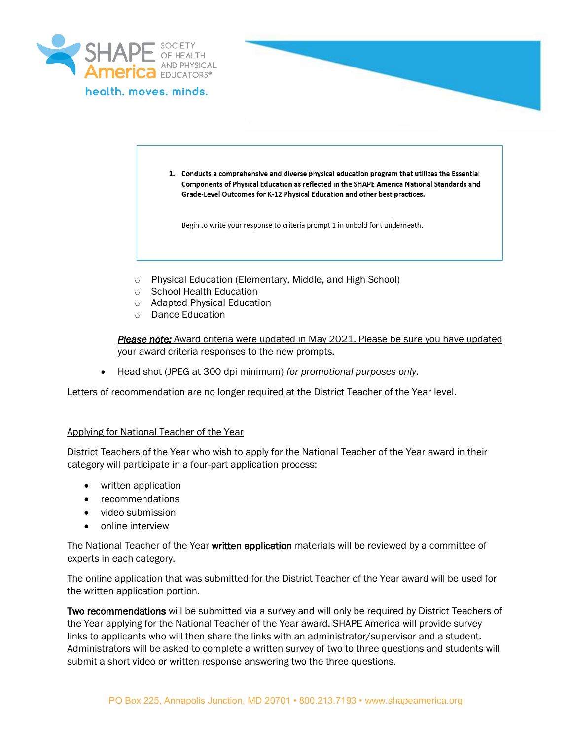

1. Conducts a comprehensive and diverse physical education program that utilizes the Essential Components of Physical Education as reflected in the SHAPE America National Standards and Grade-Level Outcomes for K-12 Physical Education and other best practices.

Begin to write your response to criteria prompt 1 in unbold font underneath.

- o Physical Education (Elementary, Middle, and High School)
- o School Health Education
- o Adapted Physical Education
- o Dance Education

*Please note:* Award criteria were updated in May 2021. Please be sure you have updated your award criteria responses to the new prompts.

• Head shot (JPEG at 300 dpi minimum) *for promotional purposes only.*

Letters of recommendation are no longer required at the District Teacher of the Year level.

#### Applying for National Teacher of the Year

District Teachers of the Year who wish to apply for the National Teacher of the Year award in their category will participate in a four-part application process:

- written application
- recommendations
- video submission
- online interview

The National Teacher of the Year written application materials will be reviewed by a committee of experts in each category.

The online application that was submitted for the District Teacher of the Year award will be used for the written application portion.

Two recommendations will be submitted via a survey and will only be required by District Teachers of the Year applying for the National Teacher of the Year award. SHAPE America will provide survey links to applicants who will then share the links with an administrator/supervisor and a student. Administrators will be asked to complete a written survey of two to three questions and students will submit a short video or written response answering two the three questions.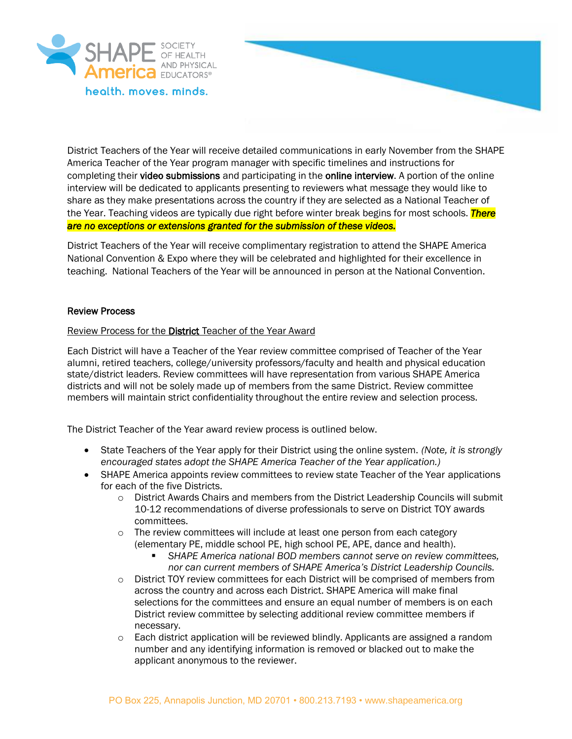

District Teachers of the Year will receive detailed communications in early November from the SHAPE America Teacher of the Year program manager with specific timelines and instructions for completing their video submissions and participating in the online interview. A portion of the online interview will be dedicated to applicants presenting to reviewers what message they would like to share as they make presentations across the country if they are selected as a National Teacher of the Year. Teaching videos are typically due right before winter break begins for most schools. *There are no exceptions or extensions granted for the submission of these videos.* 

District Teachers of the Year will receive complimentary registration to attend the SHAPE America National Convention & Expo where they will be celebrated and highlighted for their excellence in teaching. National Teachers of the Year will be announced in person at the National Convention.

#### Review Process

#### Review Process for the District Teacher of the Year Award

Each District will have a Teacher of the Year review committee comprised of Teacher of the Year alumni, retired teachers, college/university professors/faculty and health and physical education state/district leaders. Review committees will have representation from various SHAPE America districts and will not be solely made up of members from the same District. Review committee members will maintain strict confidentiality throughout the entire review and selection process.

The District Teacher of the Year award review process is outlined below.

- State Teachers of the Year apply for their District using the online system. *(Note, it is strongly encouraged states adopt the SHAPE America Teacher of the Year application.)*
- SHAPE America appoints review committees to review state Teacher of the Year applications for each of the five Districts.
	- $\circ$  District Awards Chairs and members from the District Leadership Councils will submit 10-12 recommendations of diverse professionals to serve on District TOY awards committees.
	- o The review committees will include at least one person from each category (elementary PE, middle school PE, high school PE, APE, dance and health).
		- SHAPE America national BOD members cannot serve on review committees, *nor can current members of SHAPE America's District Leadership Councils.*
	- o District TOY review committees for each District will be comprised of members from across the country and across each District. SHAPE America will make final selections for the committees and ensure an equal number of members is on each District review committee by selecting additional review committee members if necessary.
	- $\circ$  Each district application will be reviewed blindly. Applicants are assigned a random number and any identifying information is removed or blacked out to make the applicant anonymous to the reviewer.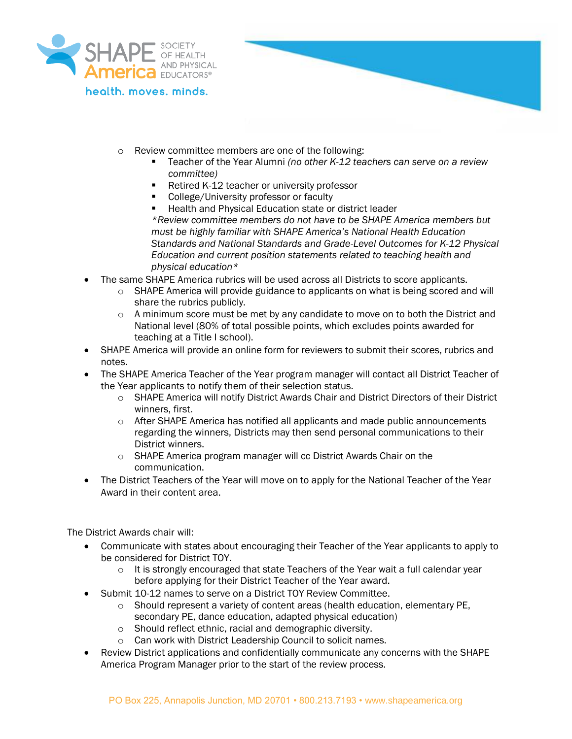

health, moves, minds,

- o Review committee members are one of the following:
	- Teacher of the Year Alumni *(no other K-12 teachers can serve on a review committee)*
	- Retired K-12 teacher or university professor
	- College/University professor or faculty
	- Health and Physical Education state or district leader *\*Review committee members do not have to be SHAPE America members but must be highly familiar with SHAPE America's National Health Education Standards and National Standards and Grade-Level Outcomes for K-12 Physical Education and current position statements related to teaching health and physical education\**
- The same SHAPE America rubrics will be used across all Districts to score applicants.
	- $\circ$  SHAPE America will provide guidance to applicants on what is being scored and will share the rubrics publicly.
	- $\circ$  A minimum score must be met by any candidate to move on to both the District and National level (80% of total possible points, which excludes points awarded for teaching at a Title I school).
- SHAPE America will provide an online form for reviewers to submit their scores, rubrics and notes.
- The SHAPE America Teacher of the Year program manager will contact all District Teacher of the Year applicants to notify them of their selection status.
	- o SHAPE America will notify District Awards Chair and District Directors of their District winners, first.
	- $\circ$  After SHAPE America has notified all applicants and made public announcements regarding the winners, Districts may then send personal communications to their District winners.
	- o SHAPE America program manager will cc District Awards Chair on the communication.
- The District Teachers of the Year will move on to apply for the National Teacher of the Year Award in their content area.

The District Awards chair will:

- Communicate with states about encouraging their Teacher of the Year applicants to apply to be considered for District TOY.
	- $\circ$  It is strongly encouraged that state Teachers of the Year wait a full calendar year before applying for their District Teacher of the Year award.
- Submit 10-12 names to serve on a District TOY Review Committee.
	- o Should represent a variety of content areas (health education, elementary PE, secondary PE, dance education, adapted physical education)
	- o Should reflect ethnic, racial and demographic diversity.
	- o Can work with District Leadership Council to solicit names.
- Review District applications and confidentially communicate any concerns with the SHAPE America Program Manager prior to the start of the review process.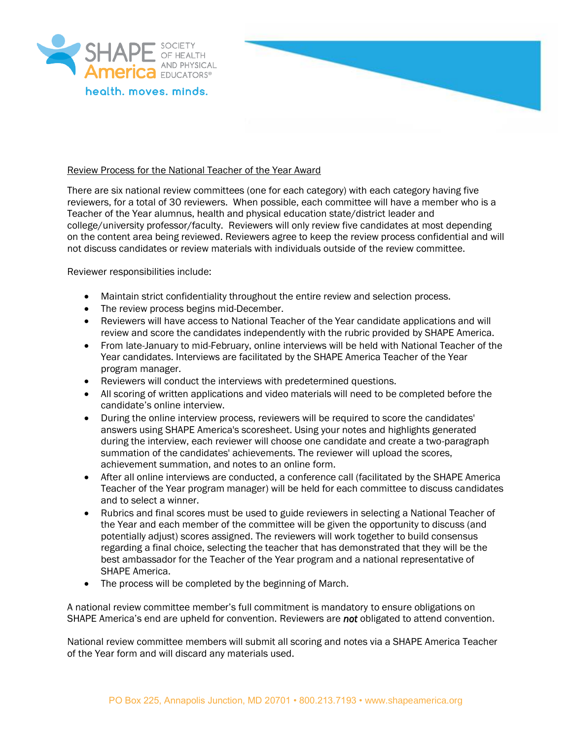



#### Review Process for the National Teacher of the Year Award

There are six national review committees (one for each category) with each category having five reviewers, for a total of 30 reviewers. When possible, each committee will have a member who is a Teacher of the Year alumnus, health and physical education state/district leader and college/university professor/faculty. Reviewers will only review five candidates at most depending on the content area being reviewed. Reviewers agree to keep the review process confidential and will not discuss candidates or review materials with individuals outside of the review committee.

Reviewer responsibilities include:

- Maintain strict confidentiality throughout the entire review and selection process.
- The review process begins mid-December.
- Reviewers will have access to National Teacher of the Year candidate applications and will review and score the candidates independently with the rubric provided by SHAPE America.
- From late-January to mid-February, online interviews will be held with National Teacher of the Year candidates. Interviews are facilitated by the SHAPE America Teacher of the Year program manager.
- Reviewers will conduct the interviews with predetermined questions.
- All scoring of written applications and video materials will need to be completed before the candidate's online interview.
- During the online interview process, reviewers will be required to score the candidates' answers using SHAPE America's scoresheet. Using your notes and highlights generated during the interview, each reviewer will choose one candidate and create a two-paragraph summation of the candidates' achievements. The reviewer will upload the scores, achievement summation, and notes to an online form.
- After all online interviews are conducted, a conference call (facilitated by the SHAPE America Teacher of the Year program manager) will be held for each committee to discuss candidates and to select a winner.
- Rubrics and final scores must be used to guide reviewers in selecting a National Teacher of the Year and each member of the committee will be given the opportunity to discuss (and potentially adjust) scores assigned. The reviewers will work together to build consensus regarding a final choice, selecting the teacher that has demonstrated that they will be the best ambassador for the Teacher of the Year program and a national representative of SHAPE America.
- The process will be completed by the beginning of March.

A national review committee member's full commitment is mandatoryto ensure obligations on SHAPE America's end are upheld for convention. Reviewers are *not* obligated to attend convention.

National review committee members will submit all scoring and notes via a SHAPE America Teacher of the Year form and will discard any materials used.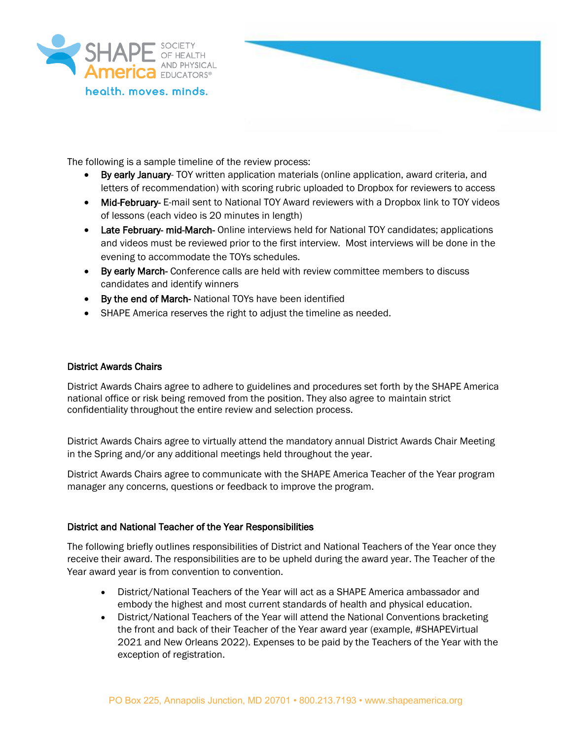

The following is a sample timeline of the review process:

- By early January- TOY written application materials (online application, award criteria, and letters of recommendation) with scoring rubric uploaded to Dropbox for reviewers to access
- Mid-February- E-mail sent to National TOY Award reviewers with a Dropbox link to TOY videos of lessons (each video is 20 minutes in length)
- Late February- mid-March- Online interviews held for National TOY candidates; applications and videos must be reviewed prior to the first interview. Most interviews will be done in the evening to accommodate the TOYs schedules.
- By early March- Conference calls are held with review committee members to discuss candidates and identify winners
- By the end of March- National TOYs have been identified
- SHAPE America reserves the right to adjust the timeline as needed.

### District Awards Chairs

District Awards Chairs agree to adhere to guidelines and procedures set forth by the SHAPE America national office or risk being removed from the position. They also agree to maintain strict confidentiality throughout the entire review and selection process.

District Awards Chairs agree to virtually attend the mandatory annual District Awards Chair Meeting in the Spring and/or any additional meetings held throughout the year.

District Awards Chairs agree to communicate with the SHAPE America Teacher of the Year program manager any concerns, questions or feedback to improve the program.

#### District and National Teacher of the Year Responsibilities

The following briefly outlines responsibilities of District and National Teachers of the Year once they receive their award. The responsibilities are to be upheld during the award year. The Teacher of the Year award year is from convention to convention.

- District/National Teachers of the Year will act as a SHAPE America ambassador and embody the highest and most current standards of health and physical education.
- District/National Teachers of the Year will attend the National Conventions bracketing the front and back of their Teacher of the Year award year (example, #SHAPEVirtual 2021 and New Orleans 2022). Expenses to be paid by the Teachers of the Year with the exception of registration.